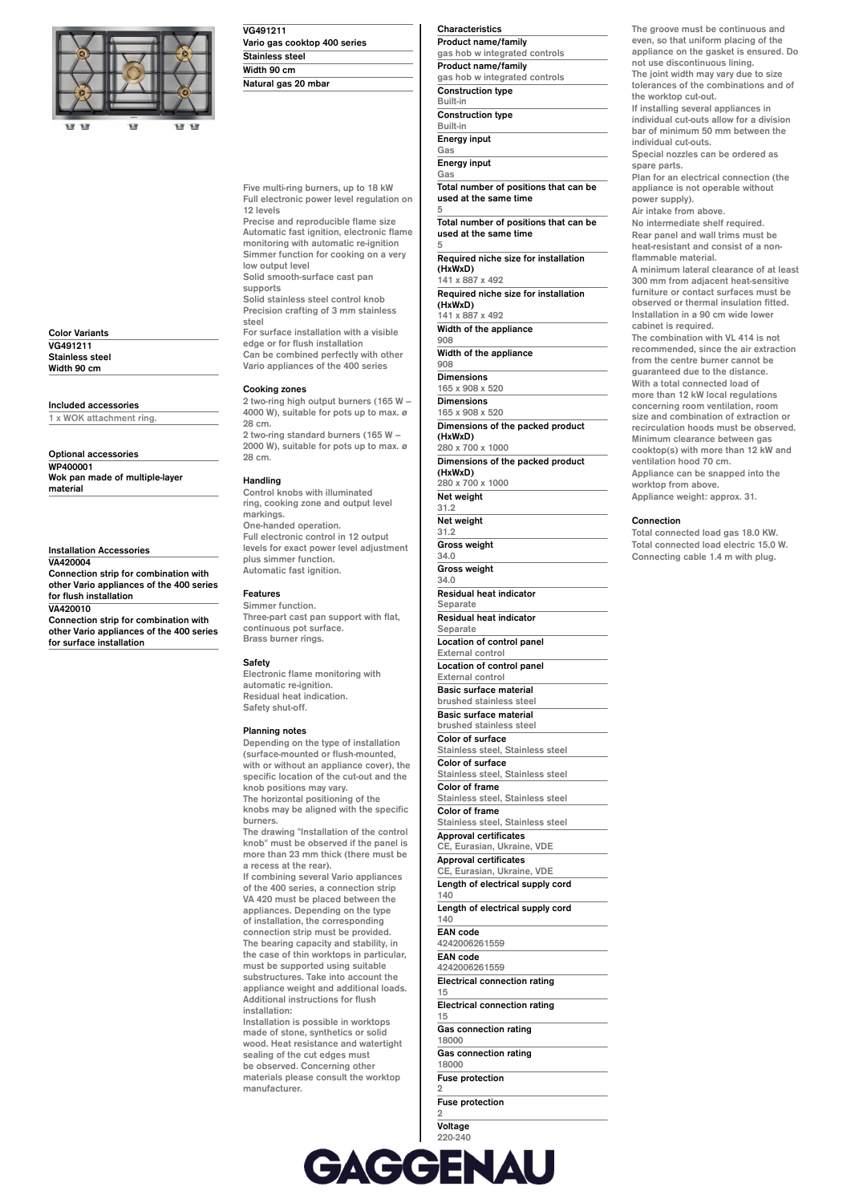

| <b>Color Variants</b>  |  |
|------------------------|--|
| VG491211               |  |
| <b>Stainless steel</b> |  |
| Width 90 cm            |  |

## **Included accessories**

**1 x WOK attachment ring.**

**Optional accessories WP400001 Wok pan made of multiple-layer material**

**Installation Accessories VA420004 Connection strip for combination with other Vario appliances of the 400 series for flush installation VA420010 Connection strip for combination with**

**other Vario appliances of the 400 series for surface installation**

**VG491211 Vario gas cooktop 400 series Stainless steel Width 90 cm Natural gas 20 mbar**

**Five multi-ring burners, up to 18 kW Full electronic power level regulation on 12 levels**

**Precise and reproducible flame size Automatic fast ignition, electronic flame monitoring with automatic re-ignition Simmer function for cooking on a very low output level Solid smooth-surface cast pan**

**supports Solid stainless steel control knob**

**Precision crafting of 3 mm stainless steel For surface installation with a visible edge or for flush installation**

**Can be combined perfectly with other Vario appliances of the 400 series**

#### **Cooking zones**

**2 two-ring high output burners (165 W – 4000 W), suitable for pots up to max. ø 28 cm. 2 two-ring standard burners (165 W – 2000 W), suitable for pots up to max. ø**

# **28 cm. Handling**

**Control knobs with illuminated ring, cooking zone and output level markings. One-handed operation. Full electronic control in 12 output levels for exact power level adjustment plus simmer function. Automatic fast ignition.**

#### **Features**

**Simmer function. Three-part cast pan support with flat, continuous pot surface. Brass burner rings.**

#### **Safety**

**Electronic flame monitoring with automatic re-ignition. Residual heat indication. Safety shut-off.**

#### **Planning notes**

**Depending on the type of installation (surface-mounted or flush-mounted, with or without an appliance cover), the specific location of the cut-out and the knob positions may vary. The horizontal positioning of the knobs may be aligned with the specific burners. The drawing "Installation of the control**

**knob" must be observed if the panel is more than 23 mm thick (there must be a recess at the rear).**

**If combining several Vario appliances of the 400 series, a connection strip VA 420 must be placed between the appliances. Depending on the type of installation, the corresponding connection strip must be provided. The bearing capacity and stability, in the case of thin worktops in particular, must be supported using suitable substructures. Take into account the appliance weight and additional loads. Additional instructions for flush installation:**

**Installation is possible in worktops made of stone, synthetics or solid wood. Heat resistance and watertight sealing of the cut edges must be observed. Concerning other materials please consult the worktop manufacturer.**

**Characteristics Product name/family gas hob w integrated controls Product name/family gas hob w integrated controls Construction type Built-in Construction type Built-in Energy input Gas**

**Energy input Gas**

**Total number of positions that can be used at the same time 5**

**Total number of positions that can be used at the same time 5**

**Required niche size for installation (HxWxD) 141 x 887 x 492**

**Required niche size for installation (HxWxD) 141 x 887 x 492**

**Width of the appliance 908**

**Width of the appliance 908**

**Dimensions**

**165 x 908 x 520 Dimensions 165 x 908 x 520 Dimensions of the packed product (HxWxD)**

**280 x 700 x 1000 Dimensions of the packed product (HxWxD)**

**280 x 700 x 1000**

**Net weight 31.2 Net weight 31.2 Gross weight 34.0 Gross weight 34.0 Residual heat indicator Separate Residual heat indicator**

**Separate Location of control panel External control Location of control panel External control Basic surface material brushed stainless steel Basic surface material brushed stainless steel Color of surface Stainless steel, Stainless steel Color of surface Stainless steel, Stainless steel Color of frame**

**Stainless steel, Stainless steel Color of frame Stainless steel, Stainless steel Approval certificates CE, Eurasian, Ukraine, VDE Approval certificates CE, Eurasian, Ukraine, VDE Length of electrical supply cord 140 Length of electrical supply cord 140 EAN code 4242006261559 EAN code 4242006261559 Electrical connection rating 15**

**Electrical connection rating 15**

**Gas connection rating 18000 Gas connection rating 18000**

**Fuse protection 2**

**Fuse protection 2**

**Voltage 220-240**

**Voltage 220-240 Frequency 50; 60**

**The groove must be continuous and even, so that uniform placing of the appliance on the gasket is ensured. Do not use discontinuous lining. The joint width may vary due to size**

**tolerances of the combinations and of the worktop cut-out.**

**If installing several appliances in individual cut-outs allow for a division bar of minimum 50 mm between the individual cut-outs.**

**Special nozzles can be ordered as spare parts.**

**Plan for an electrical connection (the appliance is not operable without power supply).**

**Air intake from above.**

**No intermediate shelf required. Rear panel and wall trims must be heat-resistant and consist of a nonflammable material.**

**A minimum lateral clearance of at least 300 mm from adjacent heat-sensitive furniture or contact surfaces must be observed or thermal insulation fitted. Installation in a 90 cm wide lower cabinet is required.**

**The combination with VL 414 is not recommended, since the air extraction from the centre burner cannot be guaranteed due to the distance. With a total connected load of more than 12 kW local regulations concerning room ventilation, room size and combination of extraction or recirculation hoods must be observed. Minimum clearance between gas cooktop(s) with more than 12 kW and**

**ventilation hood 70 cm. Appliance can be snapped into the worktop from above.**

**Appliance weight: approx. 31.**

### **Connection**

**Total connected load gas 18.0 KW. Total connected load electric 15.0 W. Connecting cable 1.4 m with plug.**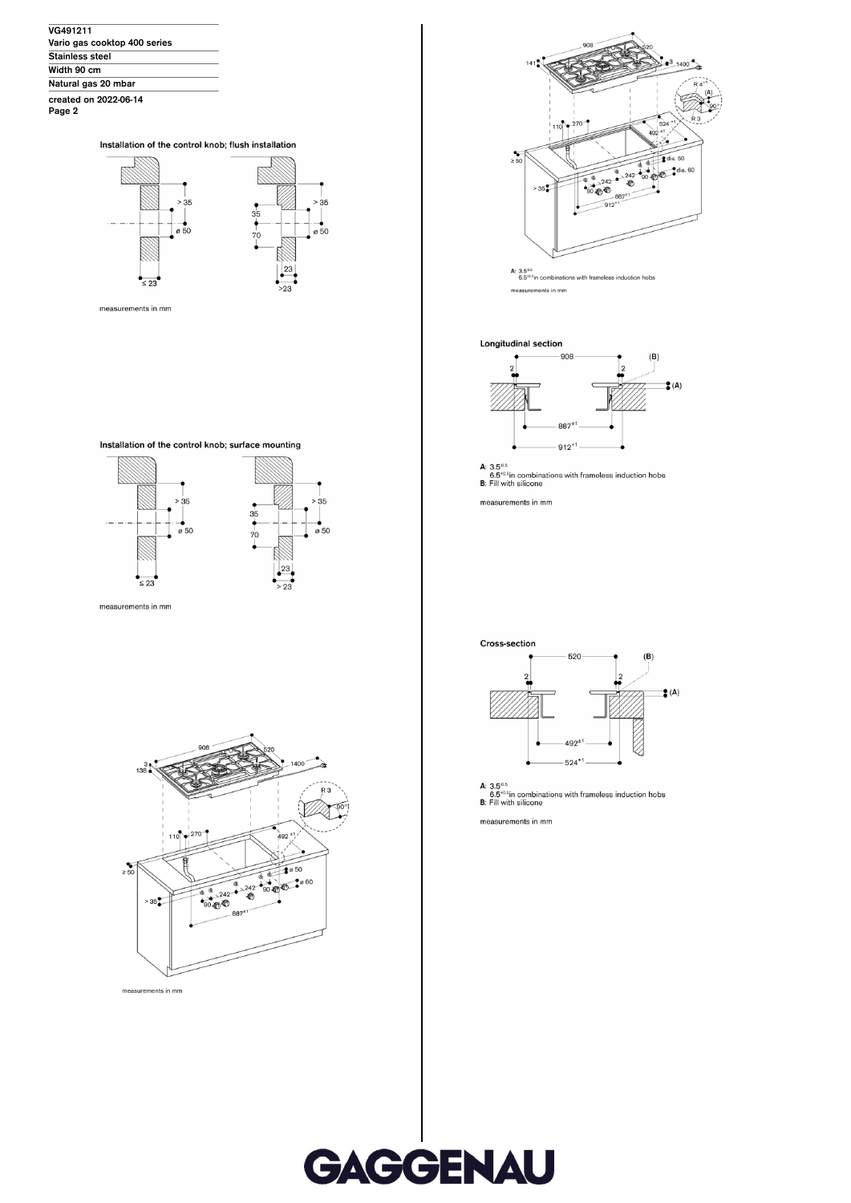| VG491211                     |  |
|------------------------------|--|
| Vario gas cooktop 400 series |  |
| <b>Stainless steel</b>       |  |
| Width 90 cm                  |  |
| Natural gas 20 mbar          |  |
| created on 2022-06-14        |  |

Page 2





measurements in mm







measurements in mm





A:  $3.5^{0.5}$ <br>6.5<sup> $+0.5$ </sup>in combinations with frameless induction hobs measurements in mm

# Longitudinal section



A: 3.5<sup>0.5</sup><br>6.5<sup>-0.5</sup>in combinations with frameless induction hobs<br>B: Fill with silicone

measurements in mm



A: 3.5<sup>0.5</sup><br>6.5<sup>+0.6</sup>in combinations with frameless induction hobs<br>**B:** Fill with silicone

measurements in mm